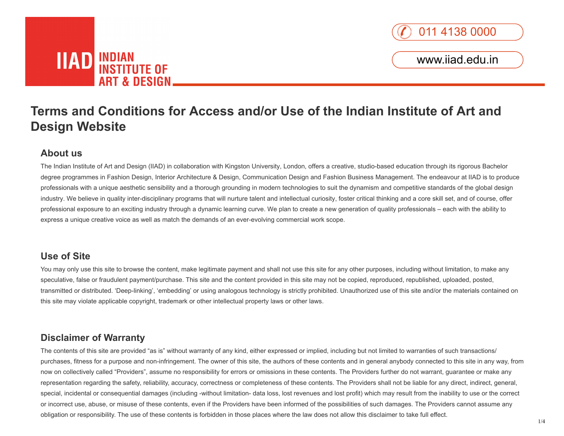

# **IIAD** INDIAN<br>INSTITUTE OF **ART & DESIGN.**

# **Terms and Conditions for Access and/or Use of the Indian Institute of Art and Design Website**

## **About us**

The Indian Institute of Art and Design (IIAD) in collaboration with Kingston University, London, offers a creative, studio-based education through its rigorous Bachelor degree programmes in Fashion Design, Interior Architecture & Design, Communication Design and Fashion Business Management. The endeavour at IIAD is to produce professionals with a unique aesthetic sensibility and a thorough grounding in modern technologies to suit the dynamism and competitive standards of the global design industry. We believe in quality inter-disciplinary programs that will nurture talent and intellectual curiosity, foster critical thinking and a core skill set, and of course, offer professional exposure to an exciting industry through a dynamic learning curve. We plan to create a new generation of quality professionals – each with the ability to express a unique creative voice as well as match the demands of an ever-evolving commercial work scope.

#### **Use of Site**

You may only use this site to browse the content, make legitimate payment and shall not use this site for any other purposes, including without limitation, to make any speculative, false or fraudulent payment/purchase. This site and the content provided in this site may not be copied, reproduced, republished, uploaded, posted, transmitted or distributed. 'Deep-linking', 'embedding' or using analogous technology is strictly prohibited. Unauthorized use of this site and/or the materials contained on this site may violate applicable copyright, trademark or other intellectual property laws or other laws.

### **Disclaimer of Warranty**

The contents of this site are provided "as is" without warranty of any kind, either expressed or implied, including but not limited to warranties of such transactions/ purchases, fitness for a purpose and non-infringement. The owner of this site, the authors of these contents and in general anybody connected to this site in any way, from now on collectively called "Providers", assume no responsibility for errors or omissions in these contents. The Providers further do not warrant, guarantee or make any representation regarding the safety, reliability, accuracy, correctness or completeness of these contents. The Providers shall not be liable for any direct, indirect, general, special, incidental or consequential damages (including -without limitation- data loss, lost revenues and lost profit) which may result from the inability to use or the correct or incorrect use, abuse, or misuse of these contents, even if the Providers have been informed of the possibilities of such damages. The Providers cannot assume any obligation or responsibility. The use of these contents is forbidden in those places where the law does not allow this disclaimer to take full effect.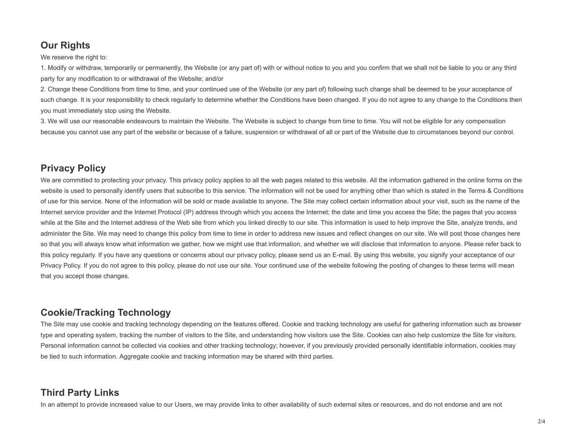# **Our Rights**

We reserve the right to:

1. Modify or withdraw, temporarily or permanently, the Website (or any part of) with or without notice to you and you confirm that we shall not be liable to you or any third party for any modification to or withdrawal of the Website; and/or

2. Change these Conditions from time to time, and your continued use of the Website (or any part of) following such change shall be deemed to be your acceptance of such change. It is your responsibility to check regularly to determine whether the Conditions have been changed. If you do not agree to any change to the Conditions then you must immediately stop using the Website.

3. We will use our reasonable endeavours to maintain the Website. The Website is subject to change from time to time. You will not be eligible for any compensation because you cannot use any part of the website or because of a failure, suspension or withdrawal of all or part of the Website due to circumstances beyond our control.

### **Privacy Policy**

We are committed to protecting your privacy. This privacy policy applies to all the web pages related to this website. All the information gathered in the online forms on the website is used to personally identify users that subscribe to this service. The information will not be used for anything other than which is stated in the Terms & Conditions of use for this service. None of the information will be sold or made available to anyone. The Site may collect certain information about your visit, such as the name of the Internet service provider and the Internet Protocol (IP) address through which you access the Internet; the date and time you access the Site; the pages that you access while at the Site and the Internet address of the Web site from which you linked directly to our site. This information is used to help improve the Site, analyze trends, and administer the Site. We may need to change this policy from time to time in order to address new issues and reflect changes on our site. We will post those changes here so that you will always know what information we gather, how we might use that information, and whether we will disclose that information to anyone. Please refer back to this policy regularly. If you have any questions or concerns about our privacy policy, please send us an E-mail. By using this website, you signify your acceptance of our Privacy Policy. If you do not agree to this policy, please do not use our site. Your continued use of the website following the posting of changes to these terms will mean that you accept those changes.

### **Cookie/Tracking Technology**

The Site may use cookie and tracking technology depending on the features offered. Cookie and tracking technology are useful for gathering information such as browser type and operating system, tracking the number of visitors to the Site, and understanding how visitors use the Site. Cookies can also help customize the Site for visitors. Personal information cannot be collected via cookies and other tracking technology; however, if you previously provided personally identifiable information, cookies may be tied to such information. Aggregate cookie and tracking information may be shared with third parties.

# **Third Party Links**

In an attempt to provide increased value to our Users, we may provide links to other availability of such external sites or resources, and do not endorse and are not